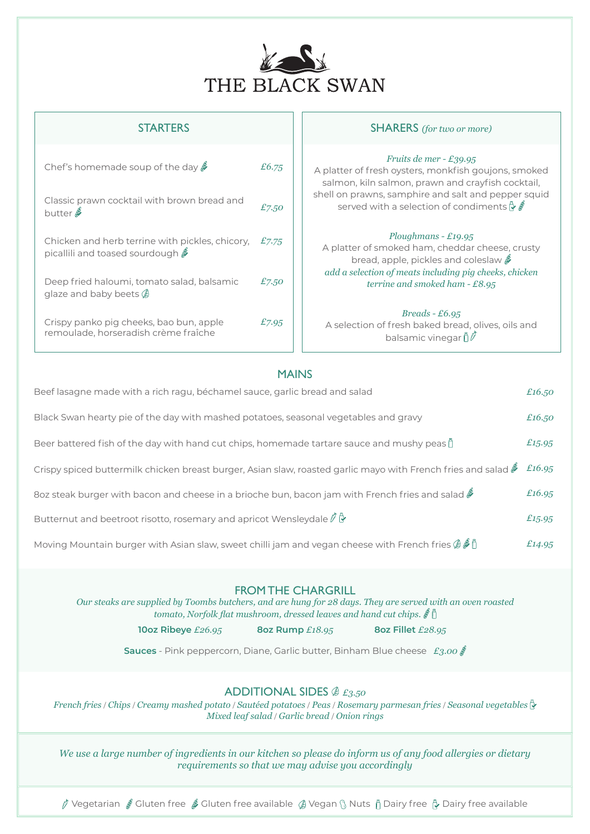

| Chef's homemade soup of the day $\ell$                                                                                                 | £6.75 |
|----------------------------------------------------------------------------------------------------------------------------------------|-------|
| Classic prawn cocktail with brown bread and<br>butter $\mathscr E$                                                                     | £7.50 |
| Chicken and herb terrine with pickles, chicory,<br>picallili and toased sourdough $\rlap{\hspace{0.02cm}/}{\hspace{0.1cm}\mathscr{S}}$ | £7.75 |
| Deep fried haloumi, tomato salad, balsamic<br>glaze and baby beets $\emptyset$                                                         | £7.50 |
| Crispy panko pig cheeks, bao bun, apple<br>remoulade, horseradish crème fraîche                                                        | £7.95 |

#### STARTERS **STARTERS** (for two or more)

#### *Fruits de mer - £39.95*

A platter of fresh oysters, monkfish goujons, smoked salmon, kiln salmon, prawn and crayfish cocktail, shell on prawns, samphire and salt and pepper squid served with a selection of condiments  $\mathbb{Q} \mathcal{E}$ 

#### *Ploughmans - £19.95*

A platter of smoked ham, cheddar cheese, crusty bread, apple, pickles and coleslaw  $\frac{A}{A}$ *add a selection of meats including pig cheeks, chicken terrine and smoked ham - £8.95*

#### *Breads - £6.95*

A selection of fresh baked bread, olives, oils and balsamic vinegar  $\mathring{\mathcal{D}}\vec{\mathscr{P}}$ 

### MAINS

| Beef lasagne made with a rich ragu, béchamel sauce, garlic bread and salad                                                    | £16,50 |
|-------------------------------------------------------------------------------------------------------------------------------|--------|
| Black Swan hearty pie of the day with mashed potatoes, seasonal vegetables and gravy                                          | £16,50 |
| Beer battered fish of the day with hand cut chips, homemade tartare sauce and mushy peas $\hat{p}$                            | £15.95 |
| Crispy spiced buttermilk chicken breast burger, Asian slaw, roasted garlic mayo with French fries and salad $\mathscr F$      | £16.95 |
| 80z steak burger with bacon and cheese in a brioche bun, bacon jam with French fries and salad $\ell$                         | £16.95 |
| Butternut and beetroot risotto, rosemary and apricot Wensleydale $\ell \oplus$                                                | £15.95 |
| Moving Mountain burger with Asian slaw, sweet chilli jam and vegan cheese with French fries $\mathscr{B} \tilde{\mathscr{B}}$ | £14.95 |

#### FROM THE CHARGRILL

*Our steaks are supplied by Toombs butchers, and are hung for 28 days. They are served with an oven roasted tomato, Norfolk flat mushroom, dressed leaves and hand cut chips.* 

**10oz Ribeye** *£26.95* **8oz Rump** *£18.95* **8oz Fillet** *£28.95*

**Sauces** - Pink peppercorn, Diane, Garlic butter, Binham Blue cheese *£3.00* 

### ADDITIONAL SIDES *£3.50*

*French fries* / *Chips* / *Creamy mashed potato* / *Sautéed potatoes* / *Peas* / *Rosemary parmesan fries* / *Seasonal vegetables Mixed leaf salad* / *Garlic bread* / *Onion rings*

*We use a large number of ingredients in our kitchen so please do inform us of any food allergies or dietary requirements so that we may advise you accordingly*

 $\oint$  Vegetarian  $\oint$  Gluten free  $\oint$  Gluten free available  $\oint$  Vegan  $\S$  Nuts  $\stackrel{a}{\parallel}$  Dairy free available